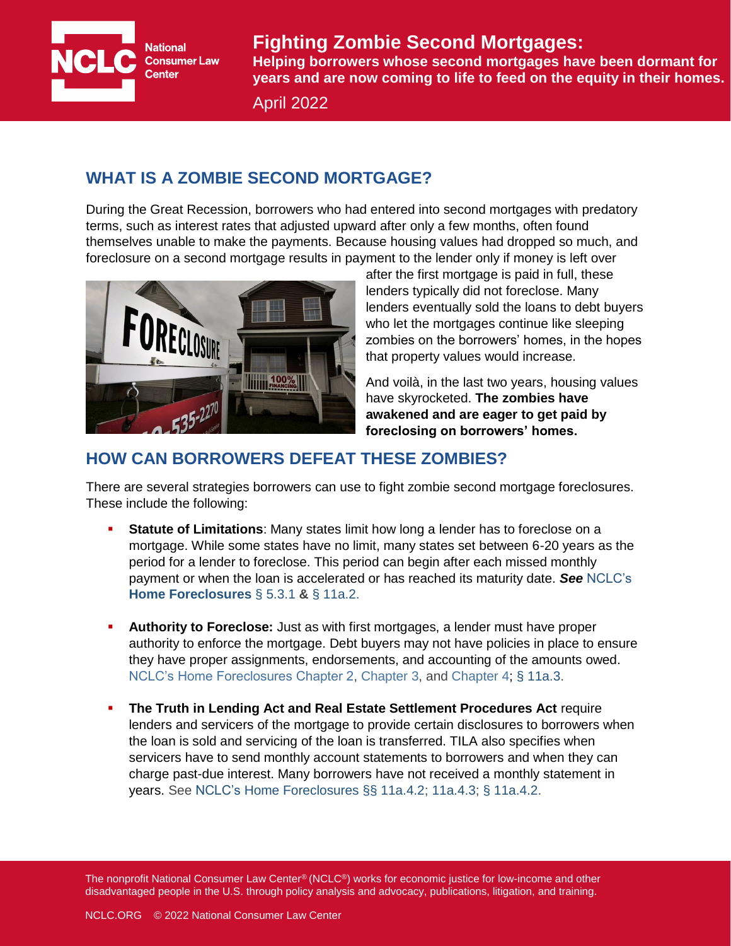**National Consumer Law Center** 

## **Fighting Zombie Second Mortgages:**

Helping borrowers whose second mortgages have been dormant for **years and are now coming to life to feed on the equity in their homes.** 

April 2022

## **WHAT IS A ZOMBIE SECOND MORTGAGE?**

During the Great Recession, borrowers who had entered into second mortgages with predatory terms, such as interest rates that adjusted upward after only a few months, often found themselves unable to make the payments. Because housing values had dropped so much, and foreclosure on a second mortgage results in payment to the lender only if money is left over



after the first mortgage is paid in full, these lenders typically did not foreclose. Many lenders eventually sold the loans to debt buyers who let the mortgages continue like sleeping zombies on the borrowers' homes, in the hopes that property values would increase.

And voilà, in the last two years, housing values have skyrocketed. **The zombies have awakened and are eager to get paid by foreclosing on borrowers' homes.**

## **HOW CAN BORROWERS DEFEAT THESE ZOMBIES?**

There are several strategies borrowers can use to fight zombie second mortgage foreclosures. These include the following:

- **Statute of Limitations**: Many states limit how long a lender has to foreclose on a mortgage. While some states have no limit, many states set between 6-20 years as the period for a lender to foreclose. This period can begin after each missed monthly payment or when the loan is accelerated or has reached its maturity date. *See* [NCLC's](https://library.nclc.org/nclc/link/HF.05.03.01)  **[Home Foreclosures](https://library.nclc.org/nclc/link/HF.05.03.01)** § 5.3.1 **&** [§ 11a.2.](https://library.nclc.org/nclc/link/HF.11a.02)
- **Authority to Foreclose:** Just as with first mortgages, a lender must have proper authority to enforce the mortgage. Debt buyers may not have policies in place to ensure they have proper assignments, endorsements, and accounting of the amounts owed. [NCLC's Home Foreclosures Chapter 2,](https://library.nclc.org/nclc/link/HF.02.01) [Chapter 3,](https://library.nclc.org/nclc/link/HF.03) and [Chapter 4;](https://library.nclc.org/nclc/link/HF.04) [§ 11a.3.](https://library.nclc.org/nclc/link/HF.11a.03)
- **The Truth in Lending Act and Real Estate Settlement Procedures Act require** lenders and servicers of the mortgage to provide certain disclosures to borrowers when the loan is sold and servicing of the loan is transferred. TILA also specifies when servicers have to send monthly account statements to borrowers and when they can charge past-due interest. Many borrowers have not received a monthly statement in years. See NCLC's [Home Foreclosures](https://library.nclc.org/nclc/link/HF.11a.04.03) [§§ 11a.4.2;](https://library.nclc.org/nclc/link/HF.11a.04.03) 11a.4.3; [§ 11a.4.2.](https://library.nclc.org/nclc/link/HF.11a.04.02)

The nonprofit National Consumer Law Center<sup>®</sup> (NCLC<sup>®</sup>) works for economic justice for low-income and other disadvantaged people in the U.S. through policy analysis and advocacy, publications, litigation, and training.